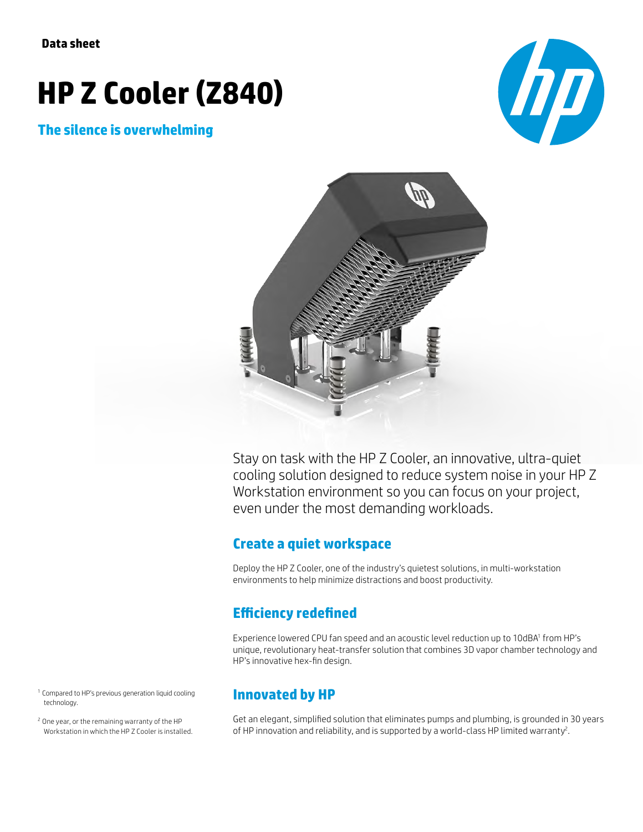# **HP Z Cooler (Z840)**

### **The silence is overwhelming**





Stay on task with the HP Z Cooler, an innovative, ultra-quiet cooling solution designed to reduce system noise in your HP Z Workstation environment so you can focus on your project, even under the most demanding workloads.

#### **Create a quiet workspace**

Deploy the HP Z Cooler, one of the industry's quietest solutions, in multi-workstation environments to help minimize distractions and boost productivity.

# **Efficiency redefined**

Experience lowered CPU fan speed and an acoustic level reduction up to 10dBA' from HP's unique, revolutionary heat-transfer solution that combines 3D vapor chamber technology and HP's innovative hex-fin design.

<sup>1</sup> Compared to HP's previous generation liquid cooling technology.

<sup>2</sup> One year, or the remaining warranty of the HP Workstation in which the HP Z Cooler is installed.

## **Innovated by HP**

Get an elegant, simplified solution that eliminates pumps and plumbing, is grounded in 30 years of HP innovation and reliability, and is supported by a world-class HP limited warranty<sup>2</sup>.